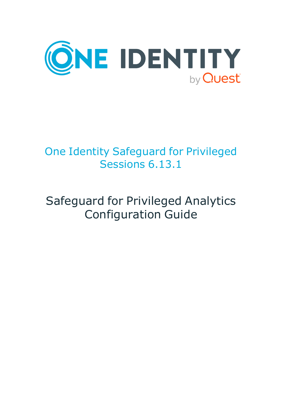

## One Identity Safeguard for Privileged Sessions 6.13.1

# Safeguard for Privileged Analytics Configuration Guide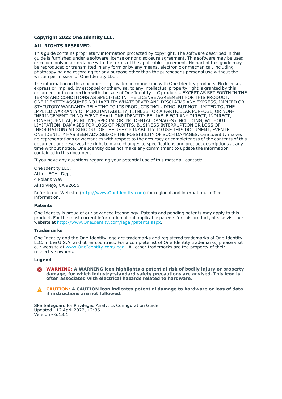#### **Copyright 2022 One Identity LLC.**

#### **ALL RIGHTS RESERVED.**

This guide contains proprietary information protected by copyright. The software described in this guide is furnished under a software license or nondisclosure agreement. This software may be used or copied only in accordance with the terms of the applicable agreement. No part of this guide may be reproduced or transmitted in any form or by any means, electronic or mechanical, including photocopying and recording for any purpose other than the purchaser's personal use without the written permission of One Identity LLC .

The information in this document is provided in connection with One Identity products. No license, express or implied, by estoppel or otherwise, to any intellectual property right is granted by this document or in connection with the sale of One Identity LLC products. EXCEPT AS SET FORTH IN THE TERMS AND CONDITIONS AS SPECIFIED IN THE LICENSE AGREEMENT FOR THIS PRODUCT, ONE IDENTITY ASSUMES NO LIABILITY WHATSOEVER AND DISCLAIMS ANY EXPRESS, IMPLIED OR STATUTORY WARRANTY RELATING TO ITS PRODUCTS INCLUDING, BUT NOT LIMITED TO, THE IMPLIED WARRANTY OF MERCHANTABILITY, FITNESS FOR A PARTICULAR PURPOSE, OR NON-INFRINGEMENT. IN NO EVENT SHALL ONE IDENTITY BE LIABLE FOR ANY DIRECT, INDIRECT, CONSEQUENTIAL, PUNITIVE, SPECIAL OR INCIDENTAL DAMAGES (INCLUDING, WITHOUT LIMITATION, DAMAGES FOR LOSS OF PROFITS, BUSINESS INTERRUPTION OR LOSS OF INFORMATION) ARISING OUT OF THE USE OR INABILITY TO USE THIS DOCUMENT, EVEN IF ONE IDENTITY HAS BEEN ADVISED OF THE POSSIBILITY OF SUCH DAMAGES. One Identity makes no representations or warranties with respect to the accuracy or completeness of the contents of this document and reserves the right to make changes to specifications and product descriptions at any time without notice. One Identity does not make any commitment to update the information contained in this document.

If you have any questions regarding your potential use of this material, contact:

One Identity LLC. Attn: LEGAL Dept 4 Polaris Way Aliso Viejo, CA 92656

Refer to our Web site [\(http://www.OneIdentity.com](http://www.oneidentity.com/)) for regional and international office information.

#### **Patents**

One Identity is proud of our advanced technology. Patents and pending patents may apply to this product. For the most current information about applicable patents for this product, please visit our website at [http://www.OneIdentity.com/legal/patents.aspx.](http://www.oneidentity.com/legal/patents.aspx)

#### **Trademarks**

One Identity and the One Identity logo are trademarks and registered trademarks of One Identity LLC. in the U.S.A. and other countries. For a complete list of One Identity trademarks, please visit our website at [www.OneIdentity.com/legal](http://www.oneidentity.com/legal). All other trademarks are the property of their respective owners.

#### **Legend**

**WARNING: A WARNING icon highlights a potential risk of bodily injury or property** œ **damage, for which industry-standard safety precautions are advised. This icon is often associated with electrical hazards related to hardware.**

**CAUTION: A CAUTION icon indicates potential damage to hardware or loss of data if instructions are not followed.**

SPS Safeguard for Privileged Analytics Configuration Guide Updated - 12 April 2022, 12:36 Version - 6.13.1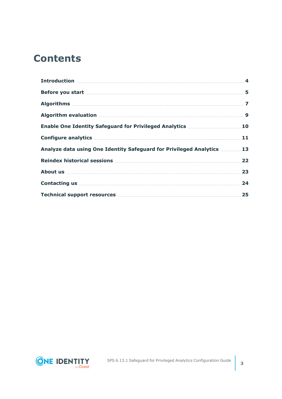### **Contents**

| Algorithm evaluation manufactured and state and state of the state of the state of the state of the state of the state of the state of the state of the state of the state of the state of the state of the state of the state |  |
|--------------------------------------------------------------------------------------------------------------------------------------------------------------------------------------------------------------------------------|--|
| Enable One Identity Safeguard for Privileged Analytics 10                                                                                                                                                                      |  |
|                                                                                                                                                                                                                                |  |
| Analyze data using One Identity Safeguard for Privileged Analytics 13                                                                                                                                                          |  |
|                                                                                                                                                                                                                                |  |
|                                                                                                                                                                                                                                |  |
|                                                                                                                                                                                                                                |  |
|                                                                                                                                                                                                                                |  |

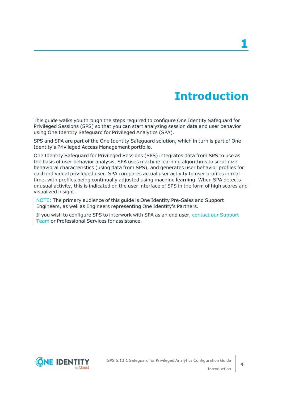## **Introduction**

<span id="page-3-0"></span>This guide walks you through the steps required to configure One Identity Safeguard for Privileged Sessions (SPS) so that you can start analyzing session data and user behavior using One Identity Safeguard for Privileged Analytics (SPA).

SPS and SPA are part of the One Identity Safeguard solution, which in turn is part of One Identity's Privileged Access Management portfolio.

One Identity Safeguard for Privileged Sessions (SPS) integrates data from SPS to use as the basis of user behavior analysis. SPA uses machine learning algorithms to scrutinize behavioral characteristics (using data from SPS), and generates user behavior profiles for each individual privileged user. SPA compares actual user activity to user profiles in real time, with profiles being continually adjusted using machine learning. When SPA detects unusual activity, this is indicated on the user interface of SPS in the form of high scores and visualized insight.

NOTE: The primary audience of this guide is One Identity Pre-Sales and Support Engineers, as well as Engineers representing One Identity's Partners.

If you wish to configure SPS to interwork with SPA as an end user, contact our [Support](https://support.oneidentity.com/one-identity-safeguard-for-privileged-sessions) [Team](https://support.oneidentity.com/one-identity-safeguard-for-privileged-sessions) or Professional Services for assistance.

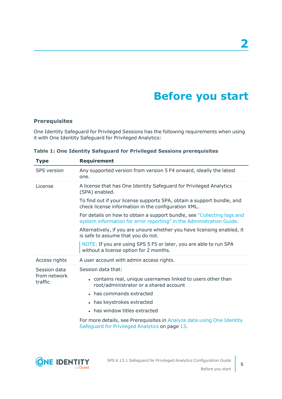## **Before you start**

### <span id="page-4-0"></span>**Prerequisites**

One Identity Safeguard for Privileged Sessions has the following requirements when using it with One Identity Safeguard for Privileged Analytics:

| <b>Type</b>             | <b>Requirement</b>                                                                                                                              |  |  |  |  |  |
|-------------------------|-------------------------------------------------------------------------------------------------------------------------------------------------|--|--|--|--|--|
| <b>SPS</b> version      | Any supported version from version 5 F4 onward, ideally the latest<br>one.                                                                      |  |  |  |  |  |
| License                 | A license that has One Identity Safeguard for Privileged Analytics<br>(SPA) enabled.                                                            |  |  |  |  |  |
|                         | To find out if your license supports SPA, obtain a support bundle, and<br>check license information in the configuration XML.                   |  |  |  |  |  |
|                         | For details on how to obtain a support bundle, see "Collecting logs and<br>system information for error reporting" in the Administration Guide. |  |  |  |  |  |
|                         | Alternatively, if you are unsure whether you have licensing enabled, it<br>is safe to assume that you do not.                                   |  |  |  |  |  |
|                         | NOTE: If you are using SPS 5 F5 or later, you are able to run SPA<br>without a license option for 2 months.                                     |  |  |  |  |  |
| Access rights           | A user account with admin access rights.                                                                                                        |  |  |  |  |  |
| Session data            | Session data that:                                                                                                                              |  |  |  |  |  |
| from network<br>traffic | • contains real, unique usernames linked to users other than<br>root/administrator or a shared account                                          |  |  |  |  |  |
|                         | • has commands extracted                                                                                                                        |  |  |  |  |  |
|                         | • has keystrokes extracted                                                                                                                      |  |  |  |  |  |
|                         | • has window titles extracted                                                                                                                   |  |  |  |  |  |
|                         | For more details, see Prerequisites in Analyze data using One Identity<br>Safeguard for Privileged Analytics on page 13.                        |  |  |  |  |  |

**Table 1: One Identity Safeguard for Privileged Sessions prerequisites**



**5**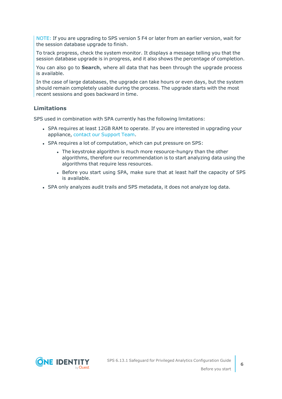NOTE: If you are upgrading to SPS version 5 F4 or later from an earlier version, wait for the session database upgrade to finish.

To track progress, check the system monitor. It displays a message telling you that the session database upgrade is in progress, and it also shows the percentage of completion.

You can also go to **Search**, where all data that has been through the upgrade process is available.

In the case of large databases, the upgrade can take hours or even days, but the system should remain completely usable during the process. The upgrade starts with the most recent sessions and goes backward in time.

### **Limitations**

SPS used in combination with SPA currently has the following limitations:

- SPA requires at least 12GB RAM to operate. If you are interested in upgrading your appliance, contact our [Support](https://support.oneidentity.com/one-identity-safeguard-for-privileged-sessions) Team.
- SPA requires a lot of computation, which can put pressure on SPS:
	- The keystroke algorithm is much more resource-hungry than the other algorithms, therefore our recommendation is to start analyzing data using the algorithms that require less resources.
	- Before you start using SPA, make sure that at least half the capacity of SPS is available.
- SPA only analyzes audit trails and SPS metadata, it does not analyze log data.

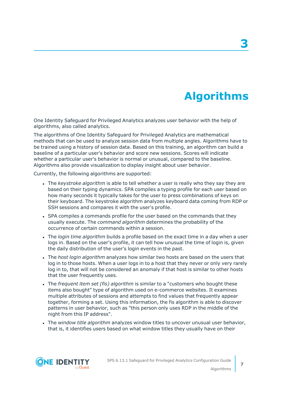## **Algorithms**

<span id="page-6-0"></span>One Identity Safeguard for Privileged Analytics analyzes user behavior with the help of algorithms, also called analytics.

The algorithms of One Identity Safeguard for Privileged Analytics are mathematical methods that can be used to analyze session data from multiple angles. Algorithms have to be trained using a history of session data. Based on this training, an algorithm can build a baseline of a particular user's behavior and score new sessions. Scores will indicate whether a particular user's behavior is normal or unusual, compared to the baseline. Algorithms also provide visualization to display insight about user behavior.

Currently, the following algorithms are supported:

- <sup>l</sup> The *keystroke algorithm* is able to tell whether a user is really who they say they are based on their typing dynamics. SPA compiles a typing profile for each user based on how many seconds it typically takes for the user to press combinations of keys on their keyboard. The keystroke algorithm analyzes keyboard data coming from RDP or SSH sessions and compares it with the user's profile.
- SPA compiles a commands profile for the user based on the commands that they usually execute. The *command algorithm* determines the probability of the occurrence of certain commands within a session.
- <sup>l</sup> The *login time algorithm* builds a profile based on the exact time in a day when a user logs in. Based on the user's profile, it can tell how unusual the time of login is, given the daily distribution of the user's login events in the past.
- <sup>l</sup> The *host login algorithm* analyzes how similar two hosts are based on the users that log in to those hosts. When a user logs in to a host that they never or only very rarely log in to, that will not be considered an anomaly if that host is similar to other hosts that the user frequently uses.
- <sup>l</sup> The *frequent item set (fis) algorithm* is similar to a "customers who bought these items also bought" type of algorithm used on e-commerce websites. It examines multiple attributes of sessions and attempts to find values that frequently appear together, forming a set. Using this information, the fis algorithm is able to discover patterns in user behavior, such as "this person only uses RDP in the middle of the night from this IP address".
- <sup>l</sup> The *window title algorithm* analyzes window titles to uncover unusual user behavior, that is, it identifies users based on what window titles they usually have on their

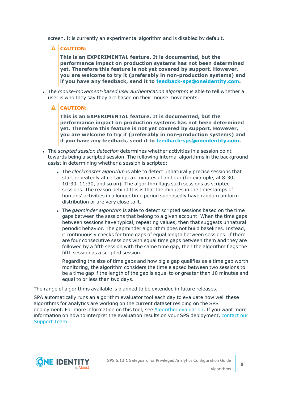screen. It is currently an experimental algorithm and is disabled by default.

**A** CAUTION:

**This is an EXPERIMENTAL feature. It is documented, but the performance impact on production systems has not been determined yet. Therefore this feature is not yet covered by support. However, you are welcome to try it (preferably in non-production systems) and if you have any feedback, send it to [feedback-sps@oneidentity.com](mailto:feedback-sps@oneidentity.com).**

- <sup>l</sup> The *mouse-movement-based user authentication algorithm* is able to tell whether a user is who they say they are based on their mouse movements.
	- **A** CAUTION:

**This is an EXPERIMENTAL feature. It is documented, but the performance impact on production systems has not been determined yet. Therefore this feature is not yet covered by support. However, you are welcome to try it (preferably in non-production systems) and if you have any feedback, send it to [feedback-sps@oneidentity.com](mailto:feedback-sps@oneidentity.com).**

- <sup>l</sup> The *scripted session detection* determines whether activities in a session point towards being a scripted session. The following internal algorithms in the background assist in determining whether a session is scripted:
	- <sup>l</sup> The *clockmaster algorithm* is able to detect unnaturally precise sessions that start repeatedly at certain peak minutes of an hour (for example, at 8:30, 10:30, 11:30, and so on). The algorithm flags such sessions as scripted sessions. The reason behind this is that the minutes in the timestamps of humans' activities in a longer time period supposedly have random uniform distribution or are very close to it.
	- <sup>l</sup> The *gapminder algorithm* is able to detect scripted sessions based on the time gaps between the sessions that belong to a given account. When the time gaps between sessions have typical, repeating values, then that suggests unnatural periodic behavior. The gapminder algorithm does not build baselines. Instead, it continuously checks for time gaps of equal length between sessions. If there are four consecutive sessions with equal time gaps between them and they are followed by a fifth session with the same time gap, then the algorithm flags the fifth session as a scripted session.

Regarding the size of time gaps and how big a gap qualifies as a time gap worth monitoring, the algorithm considers the time elapsed between two sessions to be a time gap if the length of the gap is equal to or greater than 10 minutes and equal to or less than two days.

The range of algorithms available is planned to be extended in future releases.

SPA automatically runs an algorithm evaluator tool each day to evaluate how well these algorithms for analytics are working on the current dataset residing on the SPS deployment. For more information on this tool, see Algorithm [evaluation.](#page-8-0) If you want more information on how to interpret the evaluation results on your SPS deployment, [contact](https://support.oneidentity.com/one-identity-safeguard-for-privileged-sessions) our [Support](https://support.oneidentity.com/one-identity-safeguard-for-privileged-sessions) Team.

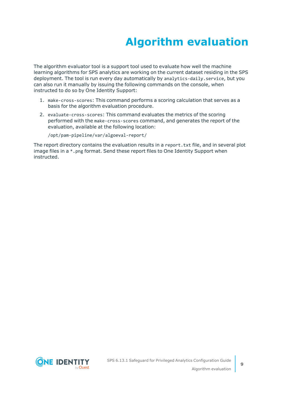# **Algorithm evaluation**

<span id="page-8-0"></span>The algorithm evaluator tool is a support tool used to evaluate how well the machine learning algorithms for SPS analytics are working on the current dataset residing in the SPS deployment. The tool is run every day automatically by analytics-daily.service, but you can also run it manually by issuing the following commands on the console, when instructed to do so by One Identity Support:

- 1. make-cross-scores: This command performs a scoring calculation that serves as a basis for the algorithm evaluation procedure.
- 2. evaluate-cross-scores: This command evaluates the metrics of the scoring performed with the make-cross-scores command, and generates the report of the evaluation, available at the following location:

/opt/pam-pipeline/var/algoeval-report/

The report directory contains the evaluation results in a report.txt file, and in several plot image files in a \*.png format. Send these report files to One Identity Support when instructed.

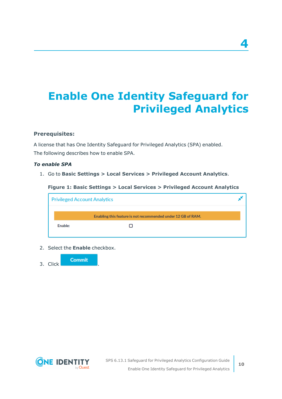# <span id="page-9-0"></span>**Enable One Identity Safeguard for Privileged Analytics**

### **Prerequisites:**

A license that has One Identity Safeguard for Privileged Analytics (SPA) enabled. The following describes how to enable SPA.

### *To enable SPA*

1. Go to **Basic Settings > Local Services > Privileged Account Analytics**.

**Figure 1: Basic Settings > Local Services > Privileged Account Analytics**

|         | <b>Privileged Account Analytics</b>                          |  |
|---------|--------------------------------------------------------------|--|
|         | Enabling this feature is not recommended under 12 GB of RAM. |  |
| Enable: |                                                              |  |

2. Select the **Enable** checkbox.





**4**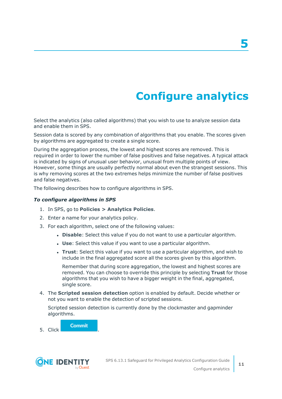# **Configure analytics**

**5**

<span id="page-10-0"></span>Select the analytics (also called algorithms) that you wish to use to analyze session data and enable them in SPS.

Session data is scored by any combination of algorithms that you enable. The scores given by algorithms are aggregated to create a single score.

During the aggregation process, the lowest and highest scores are removed. This is required in order to lower the number of false positives and false negatives. A typical attack is indicated by signs of unusual user behavior, unusual from multiple points of view. However, some things are usually perfectly normal about even the strangest sessions. This is why removing scores at the two extremes helps minimize the number of false positives and false negatives.

The following describes how to configure algorithms in SPS.

### *To configure algorithms in SPS*

- 1. In SPS, go to **Policies > Analytics Policies**.
- 2. Enter a name for your analytics policy.
- 3. For each algorithm, select one of the following values:
	- **.** Disable: Select this value if you do not want to use a particular algorithm.
	- **.** Use: Select this value if you want to use a particular algorithm.
	- <sup>l</sup> **Trust**: Select this value if you want to use a particular algorithm, and wish to include in the final aggregated score all the scores given by this algorithm.

Remember that during score aggregation, the lowest and highest scores are removed. You can choose to override this principle by selecting **Trust** for those algorithms that you wish to have a bigger weight in the final, aggregated, single score.

4. The **Scripted session detection** option is enabled by default. Decide whether or not you want to enable the detection of scripted sessions.

Scripted session detection is currently done by the clockmaster and gapminder algorithms.

**Commit** 5. Click .

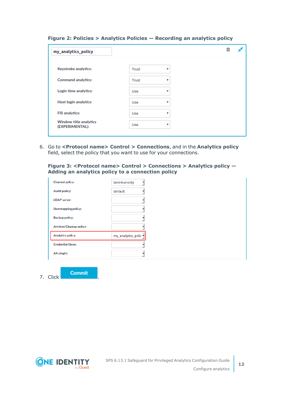| my_analytics_policy                              |              |              |  |
|--------------------------------------------------|--------------|--------------|--|
| Keystroke analytics:                             | Trust        | v            |  |
| <b>Command analytics:</b>                        | <b>Trust</b> | v            |  |
| Login time analytics:                            | Use          | v            |  |
| <b>Host login analytics:</b>                     | Use          | v            |  |
| <b>FIS analytics:</b>                            | Use          | v            |  |
| <b>Window title analytics</b><br>(EXPERIMENTAL): | Use          | $\mathbf{v}$ |  |

### **Figure 2: Policies > Analytics Policies — Recording an analytics policy**

6. Go to **<Protocol name> Control > Connections**, and in the **Analytics policy** field, select the policy that you want to use for your connections.

**Figure 3: <Protocol name> Control > Connections > Analytics policy — Adding an analytics policy to a connection policy**

| <b>Channel policy:</b>         | terminal-only        |
|--------------------------------|----------------------|
| <b>Audit policy:</b>           | default              |
| <b>LDAP</b> server:            |                      |
| <b>Usermapping policy:</b>     |                      |
| <b>Backup policy:</b>          |                      |
| <b>Archive/Cleanup policy:</b> |                      |
| <b>Analytics policy:</b>       | my_analytics_polic - |
| <b>Credential Store:</b>       |                      |
| AA plugin:                     |                      |
|                                |                      |

7. Click .

**Commit** 

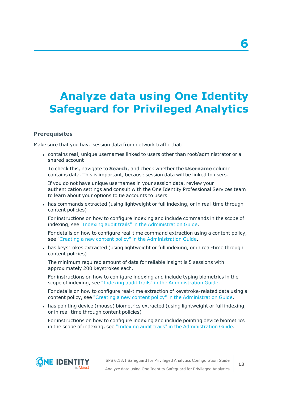## <span id="page-12-0"></span>**Analyze data using One Identity Safeguard for Privileged Analytics**

### **Prerequisites**

Make sure that you have session data from network traffic that:

<sup>l</sup> contains real, unique usernames linked to users other than root/administrator or a shared account

To check this, navigate to **Search**, and check whether the **Username** column contains data. This is important, because session data will be linked to users.

If you do not have unique usernames in your session data, review your authentication settings and consult with the One Identity Professional Services team to learn about your options to tie accounts to users.

• has commands extracted (using lightweight or full indexing, or in real-time through content policies)

For instructions on how to configure indexing and include commands in the scope of indexing, see "Indexing audit trails" in the [Administration](https://support.oneidentity.com/technical-documents/safeguard-for-privileged-sessions/6.13.1/administration-guide/) Guide.

For details on how to configure real-time command extraction using a content policy, see "Creating a new content policy" in the [Administration](https://support.oneidentity.com/technical-documents/safeguard-for-privileged-sessions/6.13.1/administration-guide/general-connection-settings/real-time-content-monitoring-with-content-policies/creating-a-new-content-policy/) Guide.

• has keystrokes extracted (using lightweight or full indexing, or in real-time through content policies)

The minimum required amount of data for reliable insight is 5 sessions with approximately 200 keystrokes each.

For instructions on how to configure indexing and include typing biometrics in the scope of indexing, see "Indexing audit trails" in the [Administration](https://support.oneidentity.com/technical-documents/safeguard-for-privileged-sessions/6.13.1/administration-guide/) Guide.

For details on how to configure real-time extraction of keystroke-related data using a content policy, see "Creating a new content policy" in the [Administration](https://support.oneidentity.com/technical-documents/safeguard-for-privileged-sessions/6.13.1/administration-guide/general-connection-settings/real-time-content-monitoring-with-content-policies/creating-a-new-content-policy/) Guide.

• has pointing device (mouse) biometrics extracted (using lightweight or full indexing, or in real-time through content policies)

For instructions on how to configure indexing and include pointing device biometrics in the scope of indexing, see "Indexing audit trails" in the [Administration](https://support.oneidentity.com/technical-documents/safeguard-for-privileged-sessions/6.13.1/administration-guide/) Guide.



**6**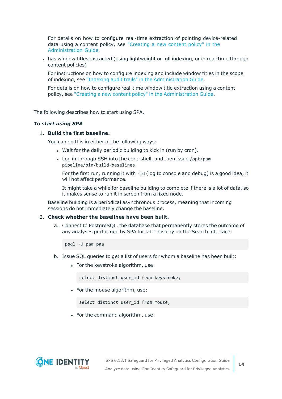For details on how to configure real-time extraction of pointing device-related data using a content policy, see ["Creating](https://support.oneidentity.com/technical-documents/safeguard-for-privileged-sessions/6.13.1/administration-guide/general-connection-settings/real-time-content-monitoring-with-content-policies/creating-a-new-content-policy/) a new content policy" in the [Administration](https://support.oneidentity.com/technical-documents/safeguard-for-privileged-sessions/6.13.1/administration-guide/general-connection-settings/real-time-content-monitoring-with-content-policies/creating-a-new-content-policy/) Guide.

• has window titles extracted (using lightweight or full indexing, or in real-time through content policies)

For instructions on how to configure indexing and include window titles in the scope of indexing, see "Indexing audit trails" in the [Administration](https://support.oneidentity.com/technical-documents/safeguard-for-privileged-sessions/6.13.1/administration-guide/) Guide.

For details on how to configure real-time window title extraction using a content policy, see "Creating a new content policy" in the [Administration](https://support.oneidentity.com/technical-documents/safeguard-for-privileged-sessions/6.13.1/administration-guide/general-connection-settings/real-time-content-monitoring-with-content-policies/creating-a-new-content-policy/) Guide.

The following describes how to start using SPA.

#### *To start using SPA*

### 1. **Build the first baseline.**

You can do this in either of the following ways:

- . Wait for the daily periodic building to kick in (run by cron).
- Log in through SSH into the core-shell, and then issue /opt/pampipeline/bin/build-baselines.

For the first run, running it with -ld (log to console and debug) is a good idea, it will not affect performance.

It might take a while for baseline building to complete if there is a lot of data, so it makes sense to run it in screen from a fixed node.

Baseline building is a periodical asynchronous process, meaning that incoming sessions do not immediately change the baseline.

#### 2. **Check whether the baselines have been built.**

a. Connect to PostgreSQL, the database that permanently stores the outcome of any analyses performed by SPA for later display on the Search interface:

psql -U paa paa

- b. Issue SQL queries to get a list of users for whom a baseline has been built:
	- For the keystroke algorithm, use:

select distinct user id from keystroke;

• For the mouse algorithm, use:

select distinct user\_id from mouse;

• For the command algorithm, use:

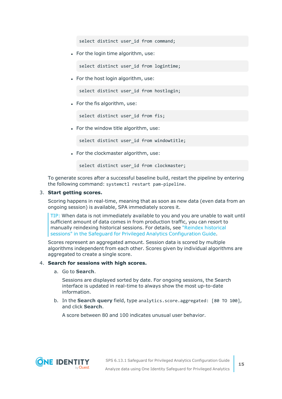select distinct user id from command:

• For the login time algorithm, use:

select distinct user id from logintime;

• For the host login algorithm, use:

select distinct user id from hostlogin;

 $\bullet$  For the fis algorithm, use:

select distinct user id from fis;

• For the window title algorithm, use:

select distinct user id from windowtitle;

• For the clockmaster algorithm, use:

select distinct user id from clockmaster;

To generate scores after a successful baseline build, restart the pipeline by entering the following command: systemctl restart pam-pipeline.

#### 3. **Start getting scores.**

Scoring happens in real-time, meaning that as soon as new data (even data from an ongoing session) is available, SPA immediately scores it.

TIP: When data is not immediately available to you and you are unable to wait until sufficient amount of data comes in from production traffic, you can resort to manually reindexing historical sessions. For details, see "Reindex [historical](https://support.oneidentity.com/technical-documents/safeguard-for-privileged-sessions/6.13.1/safeguard-for-privileged-analytics-configuration-guide/) sessions" in the Safeguard for Privileged Analytics [Configuration](https://support.oneidentity.com/technical-documents/safeguard-for-privileged-sessions/6.13.1/safeguard-for-privileged-analytics-configuration-guide/) Guide.

Scores represent an aggregated amount. Session data is scored by multiple algorithms independent from each other. Scores given by individual algorithms are aggregated to create a single score.

#### 4. **Search for sessions with high scores.**

a. Go to **Search**.

Sessions are displayed sorted by date. For ongoing sessions, the Search interface is updated in real-time to always show the most up-to-date information.

b. In the **Search query** field, type analytics.score.aggregated: [80 TO 100], and click **Search**.

A score between 80 and 100 indicates unusual user behavior.

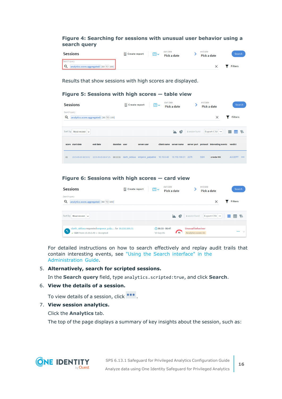### **Figure 4: Searching for sessions with unusual user behavior using a search query**

| Sessions                                | □ Create report | ⊞∨ | start date<br>Pick a date | end date<br>Pick a date | Search         |
|-----------------------------------------|-----------------|----|---------------------------|-------------------------|----------------|
| Search query                            |                 |    |                           |                         |                |
| analytics.score.aggregated: [80 TO 100] |                 |    |                           |                         | <b>Filters</b> |

Results that show sessions with high scores are displayed.

#### **Figure 5: Sessions with high scores — table view**

|                   | <b>Sessions</b>                      |                                         |               | M Create report | 面し                              | start date | Pick a date             |                 | end date   | Pick a date                             |                | Search |
|-------------------|--------------------------------------|-----------------------------------------|---------------|-----------------|---------------------------------|------------|-------------------------|-----------------|------------|-----------------------------------------|----------------|--------|
| Search query<br>Q |                                      | analytics.score.aggregated: [80 TO 100] |               |                 |                                 |            |                         |                 |            | $\times$                                | <b>Filters</b> |        |
| Sort by           | Most recent $\vert \mathbf{v} \vert$ |                                         |               |                 |                                 |            | $\clubsuit$<br>u.       | 1 session found |            | Export CSV    로 田 中                     |                |        |
|                   | score start date                     | end date                                | duration user |                 | server user                     |            | client name server name |                 |            | server port protocol interesting events | verdict        |        |
| 81                | 2019-09-05 08:33:52                  | 2019-09-05 08:47:25                     | 00:13:33      |                 | darth sidious emperor palpatine | 10.10.0.40 | 10.110.100.31           | 2275            | <b>SSH</b> | oreder66                                | <b>ACCEPT</b>  | 000    |

### **Figure 6: Sessions with high scores — card view**

| Sessions                                                                                   | □ Create report | ■∽         | start date<br>Pick a date              |                                                 | end date<br>Pick a date | Search         |
|--------------------------------------------------------------------------------------------|-----------------|------------|----------------------------------------|-------------------------------------------------|-------------------------|----------------|
| Search query<br>analytics.score.aggregated: [80 TO 100]                                    |                 |            |                                        |                                                 | $\times$                | <b>Filters</b> |
| Sort by<br>Most recent $\vert \vee$                                                        |                 |            | €<br>ь.                                | 1 session found                                 | Export CSV $\ \cdot\ $  | 囲キ             |
| darth_sidious requested emperor_palp for 10.110.100.31<br>SSH from $10.10.0.40$ > Accepted |                 | '19 Sep 05 | $($ 08:33 - 08:47<br>$\blacksquare$ 81 | <b>Unusual behaviour</b><br>Analytics score: 81 |                         | $\cdots$       |

For detailed instructions on how to search effectively and replay audit trails that contain interesting events, see "Using the Search [interface"](https://support.oneidentity.com/technical-documents/safeguard-for-privileged-sessions/6.13.1/administration-guide/) in the [Administration](https://support.oneidentity.com/technical-documents/safeguard-for-privileged-sessions/6.13.1/administration-guide/) Guide.

### 5. **Alternatively, search for scripted sessions.**

In the **Search query** field, type analytics.scripted:true, and click **Search**.

### 6. **View the details of a session.**

To view details of a session, click ...

### 7. **View session analytics.**

Click the **Analytics** tab.

The top of the page displays a summary of key insights about the session, such as:

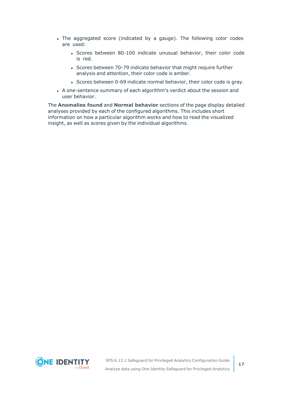- The aggregated score (indicated by a gauge). The following color codes are used:
	- Scores between 80-100 indicate unusual behavior, their color code is red.
	- Scores between 70-79 indicate behavior that might require further analysis and attention, their color code is amber.
	- Scores between 0-69 indicate normal behavior, their color code is gray.
- A one-sentence summary of each algorithm's verdict about the session and user behavior.

The **Anomalies found** and **Normal behavior** sections of the page display detailed analyses provided by each of the configured algorithms. This includes short information on how a particular algorithm works and how to read the visualized insight, as well as scores given by the individual algorithms.

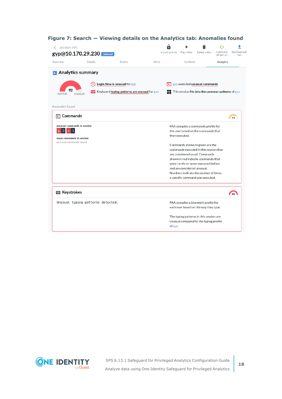| session info<br>gyp@10.170.29.230 indexed |                |                                              |        | Unlock events | Play video                  | Delete video                                      | Automatic<br>refresh on | Download audi<br>trail |
|-------------------------------------------|----------------|----------------------------------------------|--------|---------------|-----------------------------|---------------------------------------------------|-------------------------|------------------------|
| Overview                                  | <b>Details</b> | Events                                       | Alerts |               | Contents                    |                                                   | Analytics               |                        |
| <b>In</b> Analytics summary               |                |                                              |        |               |                             |                                                   |                         |                        |
|                                           |                | Login time is unusual for gyp                |        |               |                             | gyp executed unusual commands                     |                         |                        |
| unusual<br>normal                         |                | Keyboard typing patterns are unusual for gyp |        |               |                             | This session fits into the common patterns of gyp |                         |                        |
| Anomalies found                           |                |                                              |        |               |                             |                                                   |                         |                        |
| $\sqrt{2}$ Commands                       |                |                                              |        |               |                             |                                                   |                         | 71                     |
| unusual commands in session               |                |                                              |        |               |                             | PAA compiles a commands profile for               |                         |                        |
| $vi$ 1<br>$\vert$ 3<br>ip                 |                |                                              |        |               |                             | the user based on the commands that               |                         |                        |
| usual commands in session                 |                |                                              |        |               | they executed.              |                                                   |                         |                        |
| no usual commands found                   |                |                                              |        |               |                             | Commands shown in green are the                   |                         |                        |
|                                           |                |                                              |        |               |                             | commands executed in this session that            |                         |                        |
|                                           |                |                                              |        |               |                             | are considered usual. Commands                    |                         |                        |
|                                           |                |                                              |        |               |                             | shown in red indicate commands that               |                         |                        |
|                                           |                |                                              |        |               |                             | were rarely or never executed before              |                         |                        |
|                                           |                |                                              |        |               | and are considered unusual. |                                                   |                         |                        |
|                                           |                |                                              |        |               |                             | Numbers indicate the number of times              |                         |                        |
|                                           |                |                                              |        |               |                             | a specific command was executed.                  |                         |                        |
| <b>Expedience</b> Keystrokes              |                |                                              |        |               |                             |                                                   |                         | 99                     |
| Unusual typing patterns detected.         |                |                                              |        |               |                             | PAA compiles a biometric profile for              |                         |                        |
|                                           |                |                                              |        |               |                             | each user based on the way they type.             |                         |                        |
|                                           |                |                                              |        |               |                             | The typing patterns in this session are           |                         |                        |
|                                           |                |                                              |        | of gyp.       |                             | unusual compared to the typing profile            |                         |                        |

### **Figure 7: Search — Viewing details on the Analytics tab: Anomalies found**

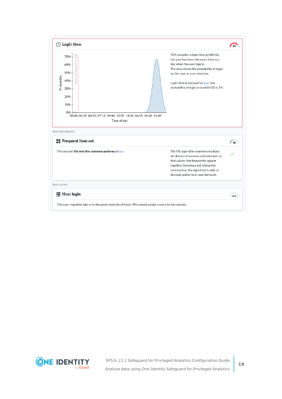

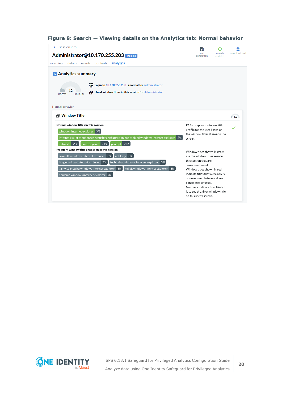| session info                                                                                                                                                                                                                                                                                                                 |                                                                                                                                                                                                                                                                        |                |
|------------------------------------------------------------------------------------------------------------------------------------------------------------------------------------------------------------------------------------------------------------------------------------------------------------------------------|------------------------------------------------------------------------------------------------------------------------------------------------------------------------------------------------------------------------------------------------------------------------|----------------|
| Administrator@10.170.255.203                                                                                                                                                                                                                                                                                                 | start<br>refresh<br>generation<br>enabled                                                                                                                                                                                                                              | download trail |
| analytics<br>overview details events contents                                                                                                                                                                                                                                                                                |                                                                                                                                                                                                                                                                        |                |
| <b>III</b> Analytics summary                                                                                                                                                                                                                                                                                                 |                                                                                                                                                                                                                                                                        |                |
| Login to 10.170.255.203 is normal for Administrator<br>12<br><b>Fig. Usual window titles in this session for Administrator</b><br>unusual<br>normal                                                                                                                                                                          |                                                                                                                                                                                                                                                                        |                |
| Normal behavior<br><b>A</b> Window Title                                                                                                                                                                                                                                                                                     |                                                                                                                                                                                                                                                                        | 16             |
| Normal window titles in this session<br>windows internet explorer 3%<br>internet explorer enhanced security configuration not enabled windows internet explorer<br>3%<br>network <1% control panel <1% prompt <1%                                                                                                            | PAA compiles a window title<br>profile for the user based on<br>the window titles it sees on the<br>screen.                                                                                                                                                            |                |
| Frequent window titles not seen in this session<br>savinelli windows internet explorer 3%<br>antik rgi 3%<br>forbidden windows internet explorer 3%<br>bing windows internet explorer 3%<br>gallwitz-pipa.hu windows internet explorer 3%<br>tollak windows internet explorer<br>3%<br>honlapja windows internet explorer 3% | Window titles shown in green<br>are the window titles seen in<br>this session that are<br>considered usual.<br>Window titles shown in red<br>indicate titles that were rarely<br>or never seen before and are<br>considered unusual.<br>Numbers indicate how likely it |                |

**Figure 8: Search — Viewing details on the Analytics tab: Normal behavior**

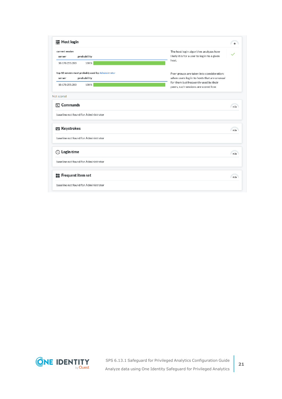| current session<br>server    | probability                                                       | The host login algorithm analyzes how<br>likely it is for a user to log in to a given    |
|------------------------------|-------------------------------------------------------------------|------------------------------------------------------------------------------------------|
| 10.170.255.203               | 100%                                                              | host.                                                                                    |
| server                       | top 10 servers most probably used by Administrator<br>probability | Peer groups are taken into consideration:<br>when users log in to hosts that are unusual |
| 10.170.255.203               | 100%                                                              | for them but frequently used by their<br>peers, such sessions are scored low.            |
| Not scored                   |                                                                   |                                                                                          |
| $\sqrt{2}$ Commands          |                                                                   | n/a                                                                                      |
|                              | baseline not found for Administrator                              |                                                                                          |
| <b>Expedience</b> Keystrokes |                                                                   | n/a                                                                                      |
|                              | baseline not found for Administrator                              |                                                                                          |
| $\circled{}$ Login time      |                                                                   | n/a                                                                                      |
|                              | baseline not found for Administrator                              |                                                                                          |
|                              | Frequent item set                                                 | n/a                                                                                      |
|                              |                                                                   |                                                                                          |

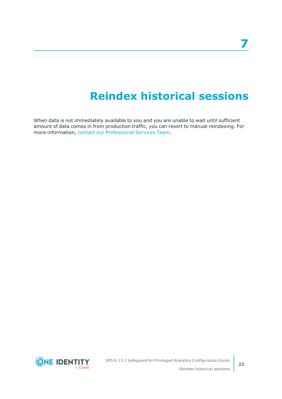## **Reindex historical sessions**

<span id="page-21-0"></span>When data is not immediately available to you and you are unable to wait until sufficient amount of data comes in from production traffic, you can resort to manual reindexing. For more information, contact our [Professional](https://support.oneidentity.com/professional-services-product-select) Services Team.

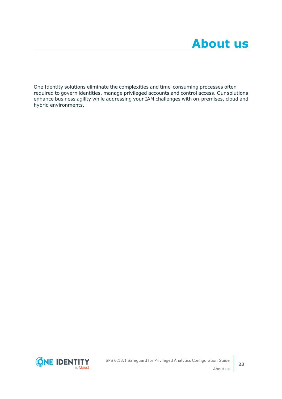<span id="page-22-0"></span>One Identity solutions eliminate the complexities and time-consuming processes often required to govern identities, manage privileged accounts and control access. Our solutions enhance business agility while addressing your IAM challenges with on-premises, cloud and hybrid environments.

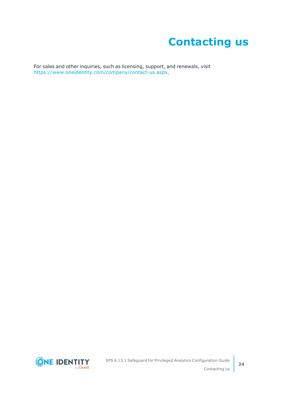## **Contacting us**

<span id="page-23-0"></span>For sales and other inquiries, such as licensing, support, and renewals, visit [https://www.oneidentity.com/company/contact-us.aspx.](https://www.oneidentity.com/company/contact-us.aspx)

**ONE IDENTITY** by **Quest**